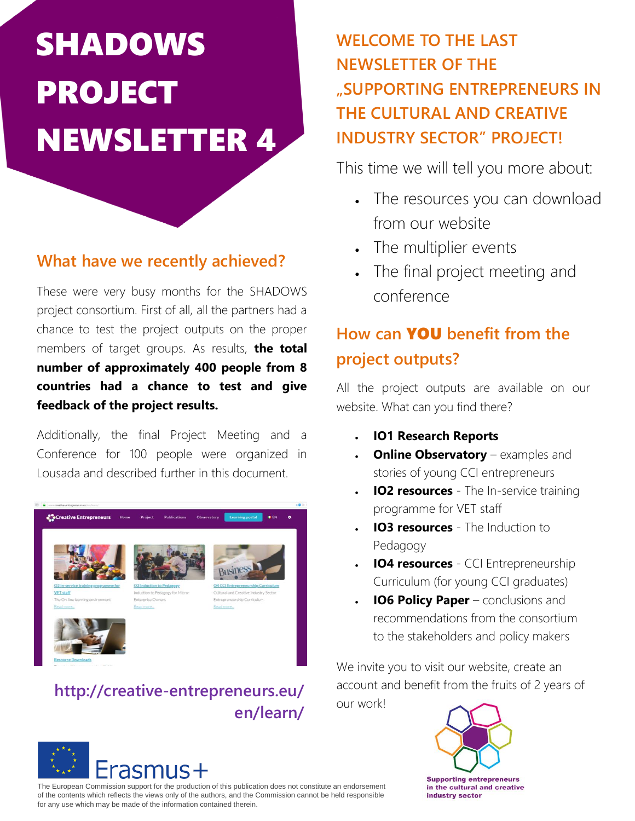# SHADOWS PROJECT NEWSLETTER 4

#### **What have we recently achieved?**

These were very busy months for the SHADOWS conference project consortium. First of all, all the partners had a chance to test the project outputs on the proper members of target groups. As results, **the total number of approximately 400 people from 8 countries had a chance to test and give feedback of the project results.**

Additionally, the final Project Meeting and a Conference for 100 people were organized in Lousada and described further in this document.



#### **http://creative-entrepreneurs.eu/ en/learn/**



The European Commission support for the production of this publication does not constitute an endorsement of the contents which reflects the views only of the authors, and the Commission cannot be held responsible for any use which may be made of the information contained therein.

## **WELCOME TO THE LAST NEWSLETTER OF THE "SUPPORTING ENTREPRENEURS IN THE CULTURAL AND CREATIVE INDUSTRY SECTOR" PROJECT!**

This time we will tell you more about:

- The resources you can download from our website
- The multiplier events
- The final project meeting and

## **How can** YOU **benefit from the project outputs?**

All the project outputs are available on our website. What can you find there?

- **IO1 Research Reports**
- **Online Observatory** examples and stories of young CCI entrepreneurs
- **IO2 resources** The In-service training programme for VET staff
- **IO3 resources** The Induction to Pedagogy
- **IO4 resources** CCI Entrepreneurship Curriculum (for young CCI graduates)
- **IO6 Policy Paper** conclusions and recommendations from the consortium to the stakeholders and policy makers

We invite you to visit our website, create an account and benefit from the fruits of 2 years of our work!

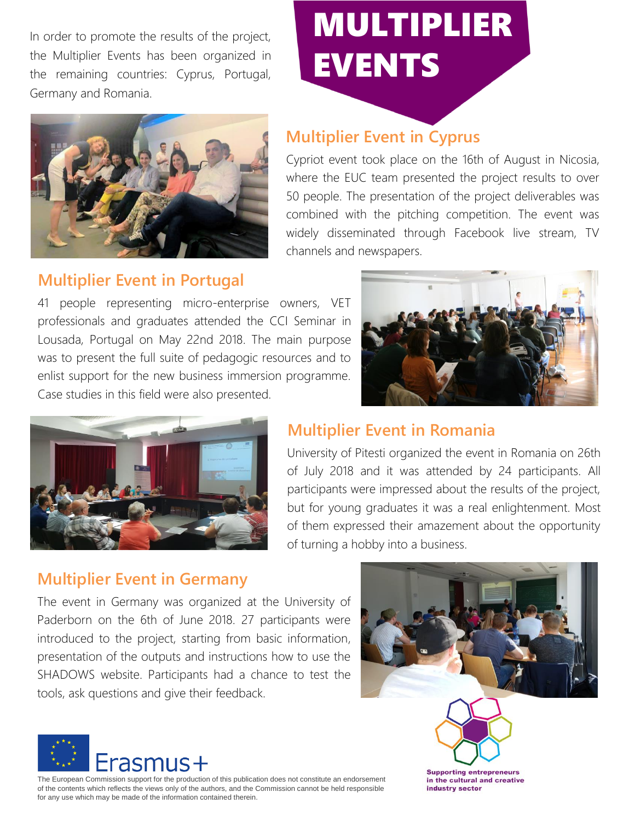In order to promote the results of the project, the Multiplier Events has been organized in the remaining countries: Cyprus, Portugal, Germany and Romania.



## MULTIPLIER EVENTS

#### **Multiplier Event in Cyprus**

Cypriot event took place on the 16th of August in Nicosia, where the EUC team presented the project results to over 50 people. The presentation of the project deliverables was combined with the pitching competition. The event was widely disseminated through Facebook live stream, TV channels and newspapers.

#### **Multiplier Event in Portugal**

41 people representing micro-enterprise owners, VET professionals and graduates attended the CCI Seminar in Lousada, Portugal on May 22nd 2018. The main purpose was to present the full suite of pedagogic resources and to enlist support for the new business immersion programme. Case studies in this field were also presented.





#### **Multiplier Event in Romania**

University of Pitesti organized the event in Romania on 26th of July 2018 and it was attended by 24 participants. All participants were impressed about the results of the project, but for young graduates it was a real enlightenment. Most of them expressed their amazement about the opportunity of turning a hobby into a business.

#### **Multiplier Event in Germany**

The event in Germany was organized at the University of Paderborn on the 6th of June 2018. 27 participants were introduced to the project, starting from basic information, presentation of the outputs and instructions how to use the SHADOWS website. Participants had a chance to test the tools, ask questions and give their feedback.



The European Commission support for the production of this publication does not constitute an endorsement of the contents which reflects the views only of the authors, and the Commission cannot be held responsible for any use which may be made of the information contained therein.





industry sector